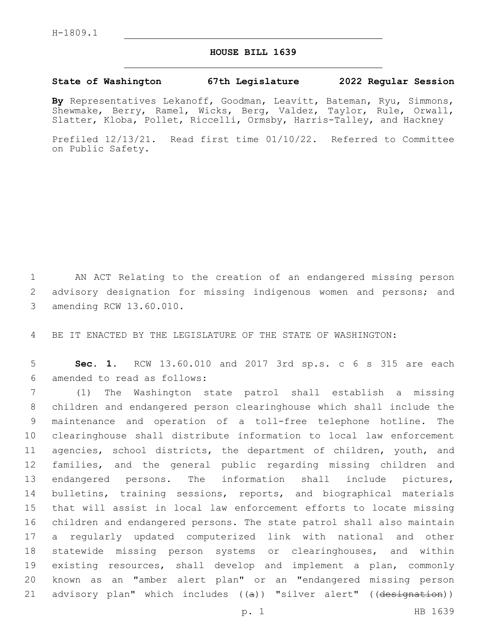## **HOUSE BILL 1639**

## **State of Washington 67th Legislature 2022 Regular Session**

**By** Representatives Lekanoff, Goodman, Leavitt, Bateman, Ryu, Simmons, Shewmake, Berry, Ramel, Wicks, Berg, Valdez, Taylor, Rule, Orwall, Slatter, Kloba, Pollet, Riccelli, Ormsby, Harris-Talley, and Hackney

Prefiled 12/13/21. Read first time 01/10/22. Referred to Committee on Public Safety.

1 AN ACT Relating to the creation of an endangered missing person 2 advisory designation for missing indigenous women and persons; and 3 amending RCW 13.60.010.

4 BE IT ENACTED BY THE LEGISLATURE OF THE STATE OF WASHINGTON:

5 **Sec. 1.** RCW 13.60.010 and 2017 3rd sp.s. c 6 s 315 are each amended to read as follows:6

 (1) The Washington state patrol shall establish a missing children and endangered person clearinghouse which shall include the maintenance and operation of a toll-free telephone hotline. The clearinghouse shall distribute information to local law enforcement 11 agencies, school districts, the department of children, youth, and families, and the general public regarding missing children and endangered persons. The information shall include pictures, bulletins, training sessions, reports, and biographical materials that will assist in local law enforcement efforts to locate missing children and endangered persons. The state patrol shall also maintain a regularly updated computerized link with national and other statewide missing person systems or clearinghouses, and within existing resources, shall develop and implement a plan, commonly known as an "amber alert plan" or an "endangered missing person 21 advisory plan" which includes ((a)) "silver alert" ((designation))